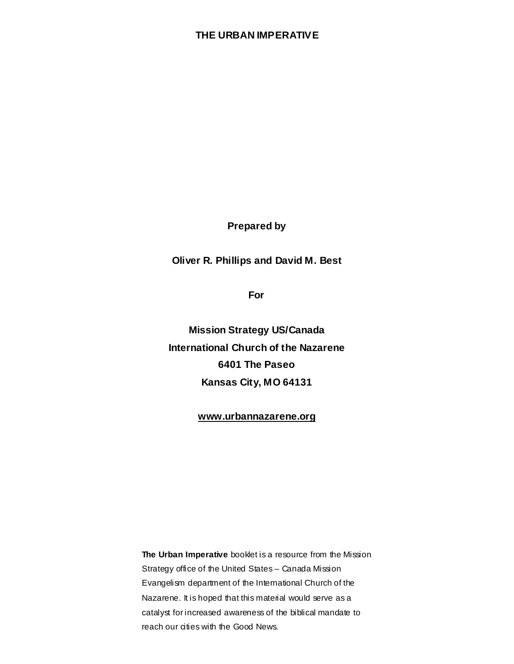# **THE URBAN IMPERATIVE**

**Prepared by** 

**Oliver R. Phillips and David M. Best** 

**For** 

**Mission Strategy US/Canada International Church of the Nazarene 6401 The Paseo Kansas City, MO 64131** 

**www.urbannazarene.org**

The Urban Imperative booklet is a resource from the Mission Strategy office of the United States – Canada Mission Evangelism department of the International Church of the Nazarene. It is hoped that this material would serve as a catalyst for increased awareness of the biblical mandate to reach our cities with the Good News.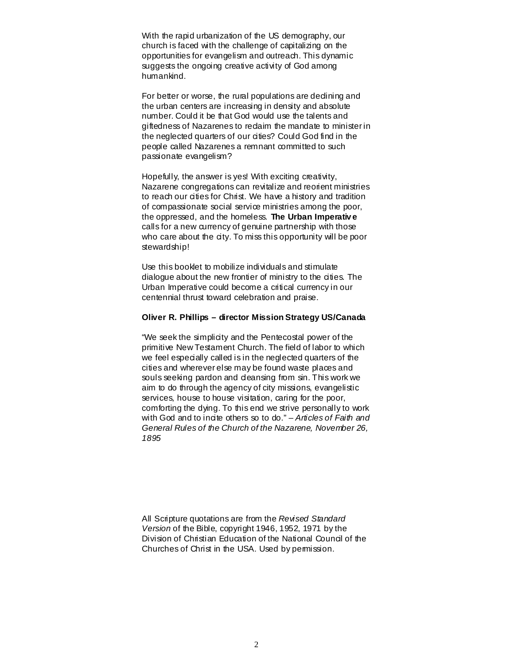With the rapid urbanization of the US demography, our church is faced with the challenge of capitalizing on the opportunities for evangelism and outreach. This dynamic suggests the ongoing creative activity of God among humankind.

For better or worse, the rural populations are dedining and the urban centers are increasing in density and absolute number. Could it be that God would use the talents and giftedness of Nazarenes to reclaim the mandate to minister in the neglected quarters of our cities? Could God find in the people called Nazarenes a remnant committed to such passionate evangelism?

Hopefully, the answer is yes! With exciting creativity, Nazarene congregations can revitalize and reorient ministries to reach our cities for Christ. We have a history and tradition of compassionate social service ministries among the poor, the oppressed, and the homeless. **The Urban Imperativ e** calls for a new currency of genuine partnership with those who care about the city. To miss this opportunity will be poor stewardship!

Use this booklet to mobilize individuals and stimulate dialogue about the new frontier of ministry to the cities. The Urban Imperative could become a critical currency in our centennial thrust toward celebration and praise.

## **Oliver R. Phillips – director Mission Strategy US/Canada**

"We seek the simplicity and the Pentecostal power of the primitive New Testament Church. The field of labor to which we feel especially called is in the neglected quarters of the cities and wherever else may be found waste places and souls seeking pardon and deansing from sin. This work we aim to do through the agency of city missions, evangelistic services, house to house visitation, caring for the poor, comforting the dying. To this end we strive personally to work with God and to incite others so to do." – *Articles of Faith and General Rules of the Church of the Nazarene, November 26, 1895*

All Scripture quotations are from the *Revised Standard Version* of the Bible, copyright 1946, 1952, 1971 by the Division of Christian Education of the National Council of the Churches of Christ in the USA. Used by permission.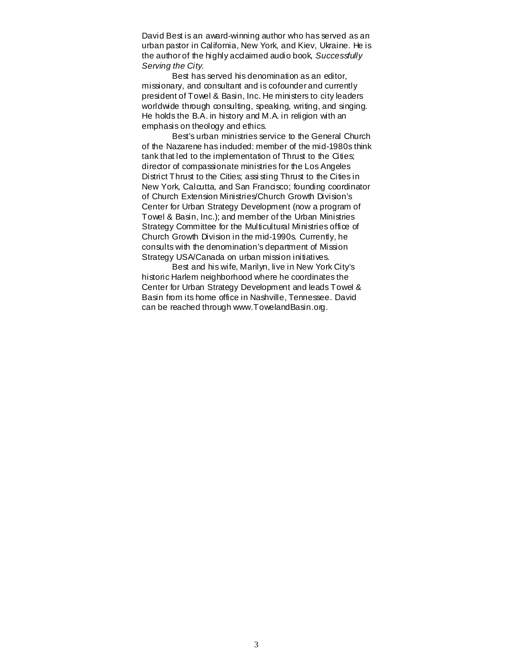David Best is an award-winning author who has served as an urban pastor in California, New York, and Kiev, Ukraine. He is the author of the highly acclaimed audio book, *Successfully Serving the City*.

 Best has served his denomination as an editor, missionary, and consultant and is cofounder and currently president of Towel & Basin, Inc. He ministers to city leaders worldwide through consulting, speaking, writing, and singing. He holds the B.A. in history and M.A. in religion with an emphasis on theology and ethics.

 Best's urban ministries service to the General Church of the Nazarene has induded: member of the mid-1980s think tank that led to the implementation of Thrust to the Cities; director of compassionate ministries for the Los Angeles District Thrust to the Cities; assi sting Thrust to the Cities in New York, Calcutta, and San Francisco; founding coordinator of Church Extension Ministries/Church Growth Division's Center for Urban Strategy Development (now a program of Towel & Basin, Inc.); and member of the Urban Ministries Strategy Committee for the Multicultural Ministries office of Church Growth Division in the mid-1990s. Currently, he consults with the denomination's department of Mission Strategy USA/Canada on urban mission initiatives.

 Best and his wife, Marilyn, live in New York City's historic Harlem neighborhood where he coordinates the Center for Urban Strategy Development and leads Towel & Basin from its home office in Nashville, Tennessee. David can be reached through www.TowelandBasin.org.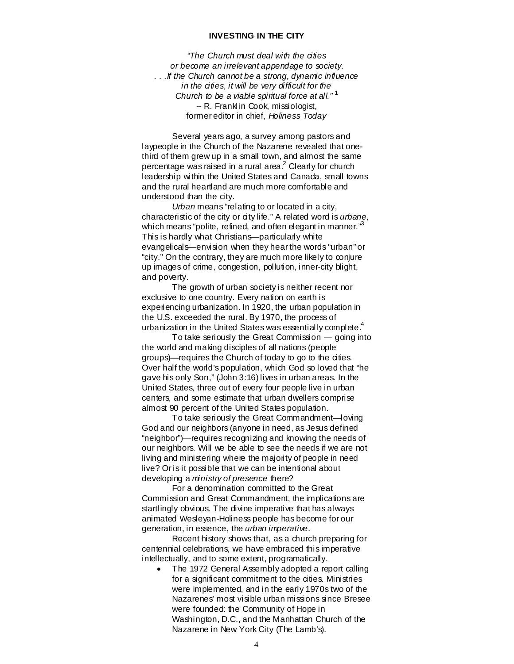#### **INVESTING IN THE CITY**

*"The Church must deal with the cities or become an irrelevant appendage to society. . . .If the Church cannot be a strong, dynamic influence in the cities, it will be very difficult for the Church to be a viable spiritual force at all."* <sup>1</sup> -- R. Franklin Cook, missiologist, former editor in chief, *Holiness Today*

 Several years ago, a survey among pastors and laypeople in the Church of the Nazarene revealed that onethird of them grew up in a small town, and almost the same percentage was raised in a rural area.<sup>2</sup> Clearly for church leadership within the United States and Canada, small towns and the rural heartland are much more comfortable and understood than the city.

*Urban* means "relating to or located in a city, characteristic of the city or city life." A related word is *urbane,* which means "polite, refined, and often elegant in manner."<sup>3</sup> This is hardly what Christians—particularly white evangelicals—envision when they hear the words "urban" or "city." On the contrary, they are much more likely to conjure up images of crime, congestion, pollution, inner-city blight, and poverty.

 The growth of urban society is neither recent nor exclusive to one country. Every nation on earth is experiencing urbanization. In 1920, the urban population in the U.S. exceeded the rural. By 1970, the process of urbanization in the United States was essentially complete. $4$ 

 To take seriously the Great Commission — going into the world and making disciples of all nations (people groups)—requires the Church of today to go to the cities. Over half the world's population, which God so loved that "he gave his only Son," (John 3:16) lives in urban areas. In the United States, three out of every four people live in urban centers, and some estimate that urban dwellers comprise almost 90 percent of the United States population.

 To take seriously the Great Commandment—loving God and our neighbors (anyone in need, as Jesus defined "neighbor")—requires recognizing and knowing the needs of our neighbors. Will we be able to see the needs if we are not living and ministering where the majority of people in need live? Or is it possible that we can be intentional about developing a *ministry of presence* there?

 For a denomination committed to the Great Commission and Great Commandment, the implications are startlingly obvious. The divine imperative that has always animated Wesleyan-Holiness people has become for our generation, in essence, the *urban imperative*.

 Recent history shows that, as a church preparing for centennial celebrations, we have embraced this imperative intellectually, and to some extent, programatically.

• The 1972 General Assembly adopted a report calling for a significant commitment to the cities. Ministries were implemented, and in the early 1970s two of the Nazarenes' most visible urban missions since Bresee were founded: the Community of Hope in Washington, D.C., and the Manhattan Church of the Nazarene in New York City (The Lamb's).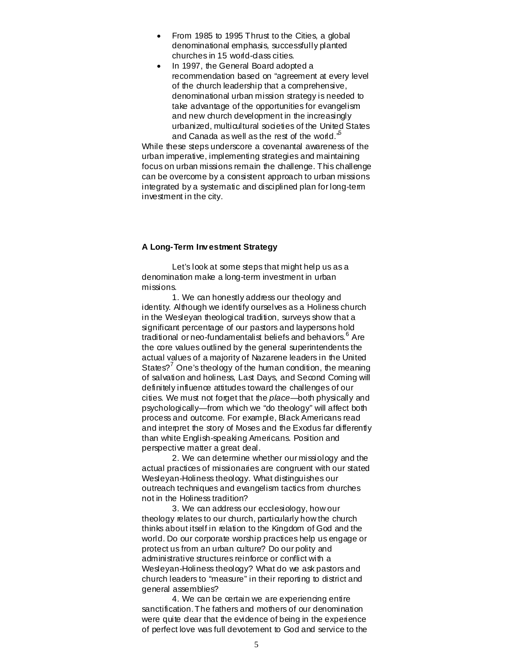- From 1985 to 1995 Thrust to the Cities, a global denominational emphasis, successfully planted churches in 15 world-class cities.
- In 1997, the General Board adopted a recommendation based on "agreement at every level of the church leadership that a comprehensive, denominational urban mission strategy is needed to take advantage of the opportunities for evangelism and new church development in the increasingly urbanized, multicultural societies of the United States and Canada as well as the rest of the world.<sup>55</sup>

While these steps underscore a covenantal awareness of the urban imperative, implementing strategies and maintaining focus on urban missions remain the challenge. This challenge can be overcome by a consistent approach to urban missions integrated by a systematic and disciplined plan for long-term investment in the city.

# **A Long-Term Inv estment Strategy**

 Let's look at some steps that might help us as a denomination make a long-term investment in urban missions.

 1. We can honestly address our theology and identity. Although we identify ourselves as a Holiness church in the Wesleyan theological tradition, surveys show that a significant percentage of our pastors and laypersons hold traditional or neo-fundamentalist beliefs and behaviors.<sup>6</sup> Are the core values outlined by the general superintendents the actual values of a majority of Nazarene leaders in the United States?<sup>7</sup> One's theology of the human condition, the meaning of salvation and holiness, Last Days, and Second Coming will definitely influence attitudes toward the challenges of our cities. We must not forget that the *place*—both physically and psychologically—from which we "do theology" will affect both process and outcome. For example, Black Americans read and interpret the story of Moses and the Exodus far differently than white English-speaking Americans. Position and perspective matter a great deal.

 2. We can determine whether our missiology and the actual practices of missionaries are congruent with our stated Wesleyan-Holiness theology. What distinguishes our outreach techniques and evangelism tactics from churches not in the Holiness tradition?

 3. We can address our ecclesiology, how our theology relates to our church, particularly how the church thinks about itself in relation to the Kingdom of God and the world. Do our corporate worship practices help us engage or protect us from an urban culture? Do our polity and administrative structures reinforce or conflict with a Wesleyan-Holiness theology? What do we ask pastors and church leaders to "measure" in their reporting to district and general assemblies?

4. We can be certain we are experiencing entire sanctification. The fathers and mothers of our denomination were quite dear that the evidence of being in the experience of perfect love was full devotement to God and service to the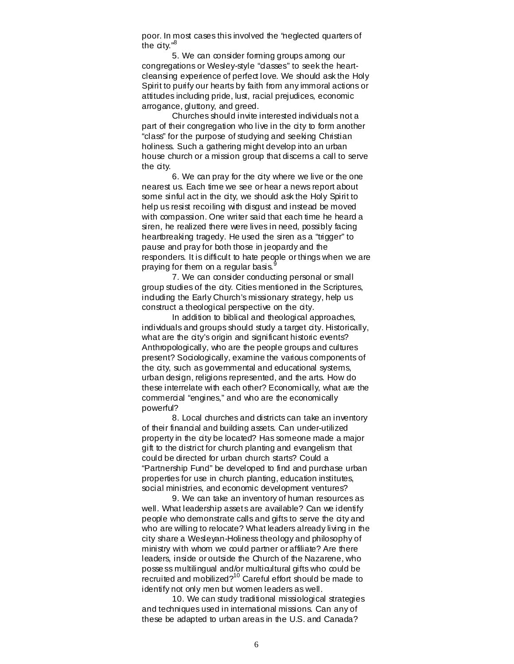poor. In most cases this involved the "neglected quarters of the city. $^{8}$ 

 5. We can consider forming groups among our congregations or Wesley-style "dasses" to seek the heartcleansing experience of perfect love. We should ask the Holy Spirit to purify our hearts by faith from any immoral actions or attitudes including pride, lust, racial prejudices, economic arrogance, gluttony, and greed.

 Churches should invite interested individuals not a part of their congregation who live in the city to form another "class" for the purpose of studying and seeking Christian holiness. Such a gathering might develop into an urban house church or a mission group that discerns a call to serve the city.

 6. We can pray for the city where we live or the one nearest us. Each time we see or hear a news report about some sinful act in the city, we should ask the Holy Spirit to help us resist recoiling with disgust and instead be moved with compassion. One writer said that each time he heard a siren, he realized there were lives in need, possibly facing heartbreaking tragedy. He used the siren as a "trigger" to pause and pray for both those in jeopardy and the responders. It is difficult to hate people or things when we are praying for them on a regular basis.<sup>9</sup>

7. We can consider conducting personal or small group studies of the city. Cities mentioned in the Scriptures, induding the Early Church's missionary strategy, help us construct a theological perspective on the city.

 In addition to biblical and theological approaches, individuals and groups should study a target city. Historically, what are the city's origin and significant historic events? Anthropologically, who are the people groups and cultures present? Sociologically, examine the various components of the city, such as governmental and educational systems, urban design, religions represented, and the arts. How do these interrelate with each other? Economically, what are the commercial "engines," and who are the economically powerful?

 8. Local churches and districts can take an inventory of their financial and building assets. Can under-utilized property in the city be located? Has someone made a major gift to the district for church planting and evangelism that could be directed for urban church starts? Could a "Partnership Fund" be developed to find and purchase urban properties for use in church planting, education institutes, social ministries, and economic development ventures?

 9. We can take an inventory of human resources as well. What leadership assets are available? Can we identify people who demonstrate calls and gifts to serve the city and who are willing to relocate? What leaders already living in the city share a Wesleyan-Holiness theology and philosophy of ministry with whom we could partner or affiliate? Are there leaders, inside or outside the Church of the Nazarene, who posse ss multilingual and/or multicultural gifts who could be recruited and mobilized? $10^{\circ}$  Careful effort should be made to identify not only men but women leaders as well.

 10. We can study traditional missiological strategies and techniques used in international missions. Can any of these be adapted to urban areas in the U.S. and Canada?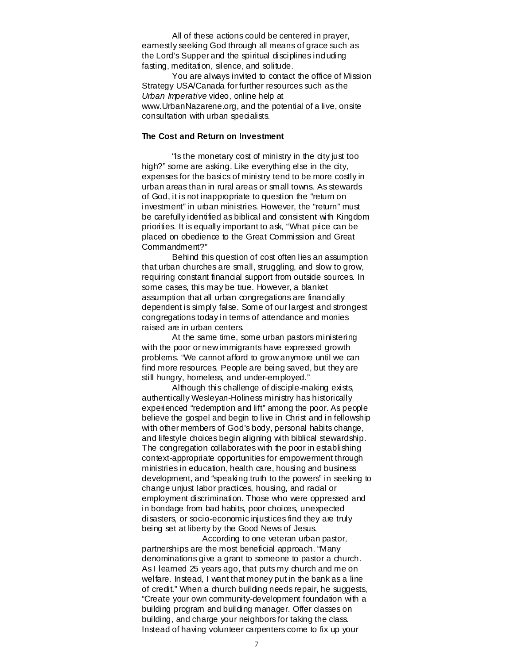All of these actions could be centered in prayer, earnestly seeking God through all means of grace such as the Lord's Supper and the spiritual disciplines induding fasting, meditation, silence, and solitude.

 You are always invited to contact the office of Mission Strategy USA/Canada for further resources such as the *Urban Imperative* video, online help at www.UrbanNazarene.org, and the potential of a live, onsite consultation with urban specialists.

## **The Cost and Return on Investment**

 "Is the monetary cost of ministry in the city just too high?" some are asking. Like everything else in the city, expenses for the basics of ministry tend to be more costly in urban areas than in rural areas or small towns. As stewards of God, it is not inappropriate to question the "return on investment" in urban ministries. However, the "return" must be carefully identified as biblical and consistent with Kingdom priorities. It is equally important to ask, "What price can be placed on obedience to the Great Commission and Great Commandment?"

 Behind this question of cost often lies an assumption that urban churches are small, struggling, and slow to grow, requiring constant financial support from outside sources. In some cases, this may be true. However, a blanket assumption that all urban congregations are financially dependent is simply false. Some of our largest and strongest congregations today in terms of attendance and monies raised are in urban centers.

At the same time, some urban pastors ministering with the poor or new immigrants have expressed growth problems. "We cannot afford to grow anymore until we can find more resources. People are being saved, but they are still hungry, homeless, and under-employed."

 Although this challenge of disciple-making exists, authentically Wesleyan-Holiness ministry has historically experienced "redemption and lift" among the poor. As people believe the gospel and begin to live in Christ and in fellowship with other members of God's body, personal habits change, and lifestyle choices begin aligning with biblical stewardship. The congregation collaborates with the poor in establishing context-appropriate opportunities for empowerment through ministries in education, health care, housing and business development, and "speaking truth to the powers" in seeking to change unjust labor practices, housing, and racial or employment discrimination. Those who were oppressed and in bondage from bad habits, poor choices, unexpected disasters, or socio-economic injustices find they are truly being set at liberty by the Good News of Jesus.

According to one veteran urban pastor, partnerships are the most beneficial approach. "Many denominations give a grant to someone to pastor a church. As I learned 25 years ago, that puts my church and me on welfare. Instead, I want that money put in the bank as a line of credit." When a church building needs repair, he suggests, "Create your own community-development foundation with a building program and building manager. Offer dasses on building, and charge your neighbors for taking the class. Instead of having volunteer carpenters come to fix up your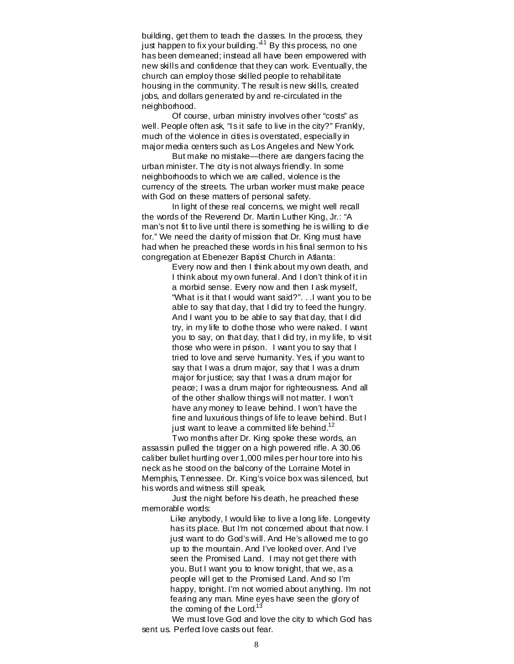building, get them to teach the classes. In the process, they just happen to fix your building."<sup>11</sup> By this process, no one has been demeaned; instead all have been empowered with new skills and confidence that they can work. Eventually, the church can employ those skilled people to rehabilitate housing in the community. The result is new skills, created jobs, and dollars generated by and re-circulated in the neighborhood.

 Of course, urban ministry involves other "costs" as well. People often ask, "Is it safe to live in the city?" Frankly, much of the violence in cities is overstated, especially in major media centers such as Los Angeles and New York.

 But make no mistake—there are dangers facing the urban minister. The city is not always friendly. In some neighborhoods to which we are called, violence is the currency of the streets. The urban worker must make peace with God on these matters of personal safety.

 In light of these real concerns, we might well recall the words of the Reverend Dr. Martin Luther King, Jr.: "A man's not fit to live until there is something he is willing to die for." We need the clarity of mission that Dr. King must have had when he preached these words in his final sermon to his congregation at Ebenezer Baptist Church in Atlanta:

> Every now and then I think about my own death, and I think about my own funeral. And I don't think of it in a morbid sense. Every now and then I ask myself, "What is it that I would want said?". . .I want you to be able to say that day, that I did try to feed the hungry. And I want you to be able to say that day, that I did try, in my life to dothe those who were naked. I want you to say, on that day, that I did try, in my life, to visit those who were in prison. I want you to say that I tried to love and serve humanity. Yes, if you want to say that I was a drum major, say that I was a drum major for justice; say that I was a drum major for peace; I was a drum major for righteousness. And all of the other shallow things will not matter. I won't have any money to leave behind. I won't have the fine and luxurious things of life to leave behind. But I just want to leave a committed life behind.<sup>12</sup>

 Two months after Dr. King spoke these words, an assassin pulled the trigger on a high powered rifle. A 30.06 caliber bullet hurtling over 1,000 miles per hour tore into his neck as he stood on the balcony of the Lorraine Motel in Memphis, Tennessee. Dr. King's voice box was silenced, but his words and witness still speak.

 Just the night before his death, he preached these memorable words:

> Like anybody, I would like to live a long life. Longevity has its place. But I'm not concerned about that now. I just want to do God's will. And He's allowed me to go up to the mountain. And I've looked over. And I've seen the Promised Land. I may not get there with you. But I want you to know tonight, that we, as a people will get to the Promised Land. And so I'm happy, tonight. I'm not worried about anything. I'm not fearing any man. Mine eyes have seen the glory of the coming of the Lord.<sup>13</sup>

We must love God and love the city to which God has sent us. Perfect love casts out fear.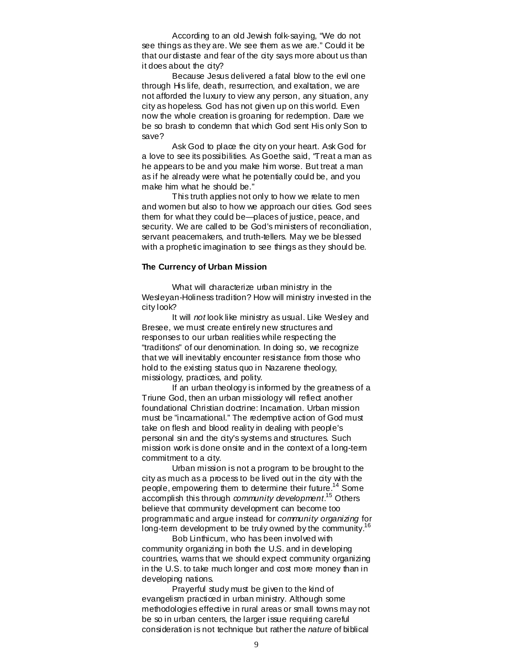According to an old Jewish folk-saying, "We do not see things as they are. We see them as we are." Could it be that our distaste and fear of the city says more about us than it does about the  $div?$ 

 Because Jesus delivered a fatal blow to the evil one through His life, death, resurrection, and exaltation, we are not afforded the luxury to view any person, any situation, any city as hopeless. God has not given up on this world. Even now the whole creation is groaning for redemption. Dare we be so brash to condemn that which God sent His only Son to save?

 Ask God to place the city on your heart. Ask God for a love to see its possibilities. As Goethe said, "Treat a man as he appears to be and you make him worse. But treat a man as if he already were what he potentially could be, and you make him what he should be."

 This truth applies not only to how we relate to men and women but also to how we approach our cities. God sees them for what they could be—places of justice, peace, and security. We are called to be God's ministers of recondilation, servant peacemakers, and truth-tellers. May we be blessed with a prophetic imagination to see things as they should be.

## **The Currency of Urban Mission**

What will characterize urban ministry in the Wesleyan-Holiness tradition? How will ministry invested in the city look?

 It will *not* look like ministry as usual. Like Wesley and Bresee, we must create entirely new structures and responses to our urban realities while respecting the "traditions" of our denomination. In doing so, we recognize that we will inevitably encounter resistance from those who hold to the existing status quo in Nazarene theology, missiology, practices, and polity.

 If an urban theology is informed by the greatness of a Triune God, then an urban missiology will reflect another foundational Christian doctrine: Incarnation. Urban mission must be "incarnational." The redemptive action of God must take on flesh and blood reality in dealing with people's personal sin and the city's systems and structures. Such mission work is done onsite and in the context of a long-term commitment to a city.

 Urban mission is not a program to be brought to the city as much as a process to be lived out in the city with the people, empowering them to determine their future.<sup>14</sup> Some accomplish this through *community development*. 15 Others believe that community development can become too programmatic and argue instead for *community organizing* for long-term development to be truly owned by the community.<sup>16</sup>

 Bob Linthicum, who has been involved with community organizing in both the U.S. and in developing countries, warns that we should expect community organizing in the U.S. to take much longer and cost more money than in developing nations.

 Prayerful study must be given to the kind of evangelism practiced in urban ministry. Although some methodologies effective in rural areas or small towns may not be so in urban centers, the larger issue requiring careful consideration is not technique but rather the *nature* of biblical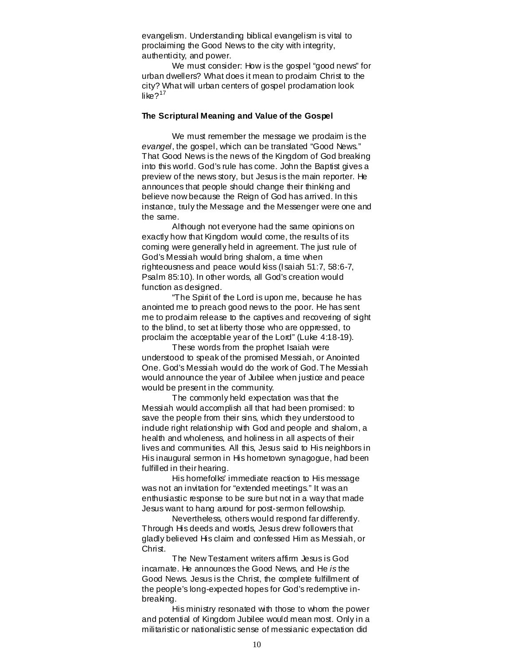evangelism. Understanding biblical evangelism is vital to proclaiming the Good News to the city with integrity, authenticity, and power.

 We must consider: How is the gospel "good news" for urban dwellers? What does it mean to proclaim Christ to the city? What will urban centers of gospel proclamation look like? $17$ 

# **The Scriptural Meaning and Value of the Gospel**

We must remember the message we prodaim is the *evangel*, the gospel, which can be translated "Good News." That Good News is the news of the Kingdom of God breaking into this world. God's rule has come. John the Baptist gives a preview of the news story, but Jesus is the main reporter. He announces that people should change their thinking and believe now because the Reign of God has arrived. In this instance, truly the Message and the Messenger were one and the same.

 Although not everyone had the same opinions on exactly how that Kingdom would come, the results of its coming were generally held in agreement. The just rule of God's Messiah would bring shalom, a time when righteousness and peace would kiss (Isaiah 51:7, 58:6-7, Psalm 85:10). In other words, all God's creation would function as designed.

 "The Spirit of the Lord is upon me, because he has anointed me to preach good news to the poor. He has sent  $me$  to prodaim release to the captives and recovering of sight to the blind, to set at liberty those who are oppressed, to proclaim the acceptable year of the Lord" (Luke 4:18-19).

 These words from the prophet Isaiah were understood to speak of the promised Messiah, or Anointed One. God's Messiah would do the work of God. The Messiah would announce the year of Jubilee when justice and peace would be present in the community.

 The commonly held expectation was that the Messiah would accomplish all that had been promised: to save the people from their sins, which they understood to indude right relationship with God and people and shalom, a health and wholeness, and holiness in all aspects of their lives and communities. All this, Jesus said to His neighbors in His inaugural sermon in His hometown synagogue, had been fulfilled in their hearing.

 His homefolks' immediate reaction to His message was not an invitation for "extended meetings." It was an enthusiastic response to be sure but not in a way that made Jesus want to hang around for post-sermon fellowship.

Nevertheless, others would respond far differently. Through His deeds and words, Jesus drew followers that gladly believed His claim and confessed Him as Messiah, or Christ.

 The New Testament writers affirm Jesus is God incarnate. He announces the Good News, and He *is* the Good News. Jesus is the Christ, the complete fulfillment of the people's long-expected hopes for God's redemptive inbreaking.

 His ministry resonated with those to whom the power and potential of Kingdom Jubilee would mean most. Only in a militaristic or nationalistic sense of messianic expectation did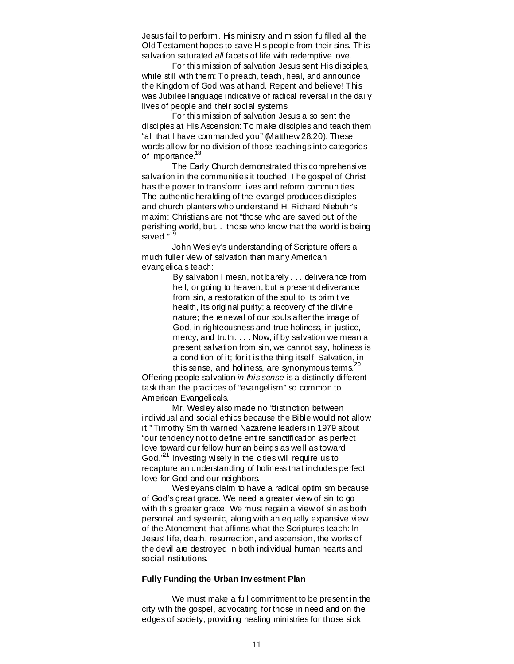Jesus fail to perform. His ministry and mission fulfilled all the Old Testament hopes to save His people from their sins. This salvation saturated *all* facets of life with redemptive love.

 For this mission of salvation Jesus sent His disciples, while still with them: To preach, teach, heal, and announce the Kingdom of God was at hand. Repent and believe! This was Jubilee language indicative of radical reversal in the daily lives of people and their social systems.

 For this mission of salvation Jesus also sent the disciples at His Ascension: To make disciples and teach them "all that I have commanded you" (Matthew 28:20). These words allow for no division of those teachings into categories of importance.<sup>18</sup>

 The Early Church demonstrated this comprehensive salvation in the communities it touched. The gospel of Christ has the power to transform lives and reform communities. The authentic heralding of the evangel produces disciples and church planters who understand H. Richard Niebuhr's maxim: Christians are not "those who are saved out of the perishing world, but. . .those who know that the world is being saved."<sup>19</sup>

 John Wesley's understanding of Scripture offers a much fuller view of salvation than many American evangelicals teach:

> By salvation I mean, not barely . . . deliverance from hell, or going to heaven; but a present deliverance from sin, a restoration of the soul to its primitive health, its original purity; a recovery of the divine nature; the renewal of our souls after the image of God, in righteousness and true holiness, in justice, mercy, and truth. . . . Now, if by salvation we mean a present salvation from sin, we cannot say, holiness is a condition of it; for it is the thing itself. Salvation, in this sense, and holiness, are synonymous terms. $20$

Offering people salvation *in this sense* is a distinctly different task than the practices of "evangelism" so common to American Evangelicals.

 Mr. Wesley also made no "distinction between individual and social ethics because the Bible would not allow it." Timothy Smith warned Nazarene leaders in 1979 about "our tendency not to define entire sanctification as perfect love toward our fellow human beings as well as toward God."<sup>21</sup> Investing wisely in the cities will require us to recapture an understanding of holiness that indudes perfect love for God and our neighbors.

 Wesleyans claim to have a radical optimism because of God's great grace. We need a greater view of sin to go with this greater grace. We must regain a view of sin as both personal and systemic, along with an equally expansive view of the Atonement that affirms what the Scriptures teach: In Jesus' life, death, resurrection, and ascension, the works of the devil are destroyed in both individual human hearts and social institutions.

## **Fully Funding the Urban Inv estment Plan**

 We must make a full commitment to be present in the city with the gospel, advocating for those in need and on the edges of society, providing healing ministries for those sick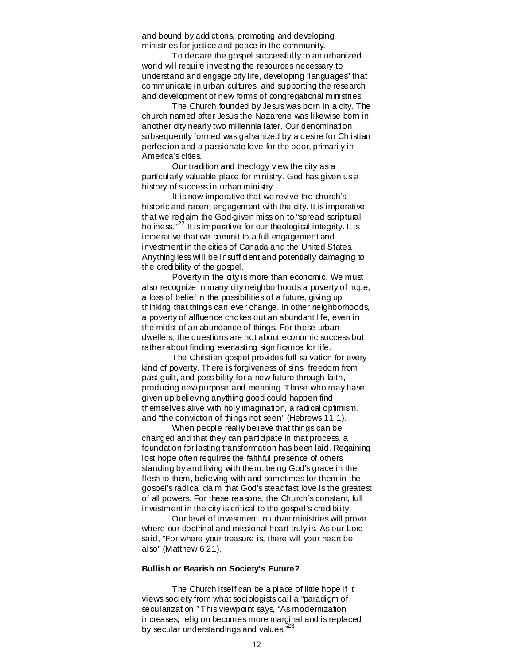and bound by addictions, promoting and developing ministries for justice and peace in the community.

 To declare the gospel successfully to an urbanized world will require investing the resources necessary to understand and engage city life, developing "languages" that communicate in urban cultures, and supporting the research and development of new forms of congregational ministries.

 The Church founded by Jesus was born in a city. The church named after Jesus the Nazarene was likewise born in another city nearly two millennia later. Our denomination subsequently formed was galvanized by a desire for Christian perfection and a passionate love for the poor, primarily in America's cities.

 Our tradition and theology view the city as a particularly valuable place for ministry. God has given us a history of success in urban ministry.

 It is now imperative that we revive the church's historic and recent engagement with the city. It is imperative that we redaim the God-given mission to "spread scriptural holiness."<sup>22</sup> It is imperative for our theological integrity. It is imperative that we commit to a full engagement and investment in the cities of Canada and the United States. Anything less will be insufficient and potentially damaging to the credibility of the gospel.

Poverty in the city is more than economic. We must also recognize in many city neighborhoods a poverty of hope, a loss of belief in the possibilities of a future, giving up thinking that things can ever change. In other neighborhoods, a poverty of affluence chokes out an abundant life, even in the midst of an abundance of things. For these urban dwellers, the questions are not about economic success but rather about finding everlasting significance for life.

 The Christian gospel provides full salvation for every kind of poverty. There is forgiveness of sins, freedom from past guilt, and possibility for a new future through faith, producing new purpose and meaning. Those who may have given up believing anything good could happen find themselves alive with holy imagination, a radical optimism, and "the conviction of things not seen" (Hebrews 11:1).

 When people really believe that things can be changed and that they can participate in that process, a foundation for lasting transformation has been laid. Regaining lost hope often requires the faithful presence of others standing by and living with them, being God's grace in the flesh to them, believing with and sometimes for them in the gospel's radical daim that God's steadfast love is the greatest of all powers. For these reasons, the Church's constant, full investment in the city is critical to the gospel's credibility.

 Our level of investment in urban ministries will prove where our doctrinal and missional heart truly is. As our Lord said, "For where your treasure is, there will your heart be also" (Matthew 6:21).

#### **Bullish or Bearish on Society's Future?**

 The Church itself can be a place of little hope if it views society from what sociologists call a "paradigm of secularization." This viewpoint says, "As modernization increases, religion becomes more marginal and is replaced by secular understandings and values."<sup>23</sup>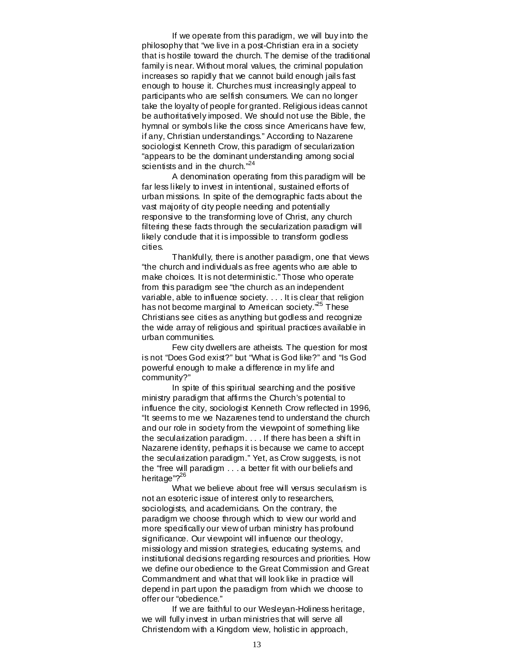If we operate from this paradigm, we will buy into the philosophy that "we live in a post-Christian era in a society that is hostile toward the church. The demise of the traditional family is near. Without moral values, the criminal population increases so rapidly that we cannot build enough jails fast enough to house it. Churches must increasingly appeal to participants who are selfish consumers. We can no longer take the loyalty of people for granted. Religious ideas cannot be authoritatively imposed. We should not use the Bible, the hymnal or symbols like the cross since Americans have few, if any, Christian understandings." According to Nazarene sociologist Kenneth Crow, this paradigm of secularization "appears to be the dominant understanding among social scientists and in the church." $^{24}$ 

 A denomination operating from this paradigm will be far less likely to invest in intentional, sustained efforts of urban missions. In spite of the demographic facts about the vast majority of city people needing and potentially responsive to the transforming love of Christ, any church filtering these facts through the secularization paradigm will likely condude that it is impossible to transform godless cities.

 Thankfully, there is another paradigm, one that views "the church and individuals as free agents who are able to make choices. It is not deterministic." Those who operate from this paradigm see "the church as an independent variable, able to influence society. . . . It is clear that religion has not become marginal to American society.<sup>25</sup> These Christians see cities as anything but godless and recognize the wide array of religious and spiritual practices available in urban communities.

 Few city dwellers are atheists. The question for most is not "Does God exist?" but "What is God like?" and "Is God powerful enough to make a difference in my life and community?"

 In spite of this spiritual searching and the positive ministry paradigm that affirms the Church's potential to influence the city, sociologist Kenneth Crow reflected in 1996, "It seems to me we Nazarenes tend to understand the church and our role in society from the viewpoint of something like the secularization paradigm. . . . If there has been a shift in Nazarene identity, perhaps it is because we came to accept the secularization paradigm." Yet, as Crow suggests, is not the "free will paradigm . . . a better fit with our beliefs and heritage"?<sup>26</sup>

What we believe about free will versus secularism is not an esoteric issue of interest only to researchers, sociologists, and academicians. On the contrary, the paradigm we choose through which to view our world and more specifically our view of urban ministry has profound significance. Our viewpoint will influence our theology, missiology and mission strategies, educating systems, and institutional decisions regarding resources and priorities. How we define our obedience to the Great Commission and Great Commandment and what that will look like in practice will depend in part upon the paradigm from which we choose to offer our "obedience."

 If we are faithful to our Wesleyan-Holiness heritage, we will fully invest in urban ministries that will serve all Christendom with a Kingdom view, holistic in approach,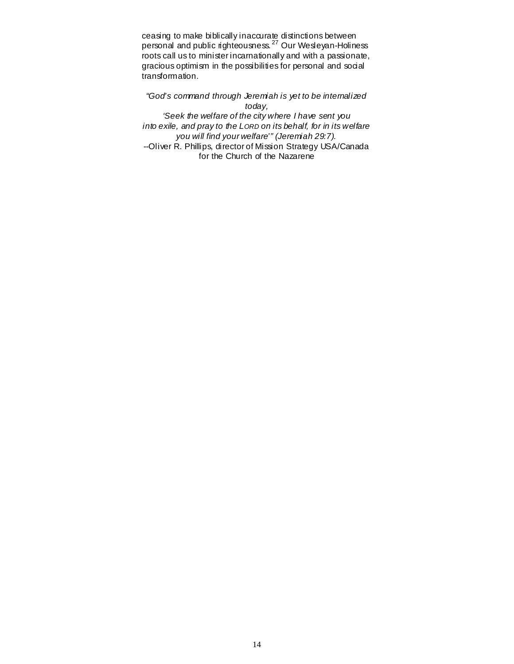ceasing to make biblically inaccurate distinctions between personal and public righteousness.<sup>27</sup> Our Wesleyan-Holiness roots call us to minister incarnationally and with a passionate, gracious optimism in the possibilities for personal and social transformation.

*"God's command through Jeremiah is yet to be internalized today,* 

*'Seek the welfare of the city where I have sent you into exile, and pray to the LORD on its behalf, for in its welfare you will find your welfare'" (Jeremiah 29:7).* --Oliver R. Phillips, director of Mission Strategy USA/Canada for the Church of the Nazarene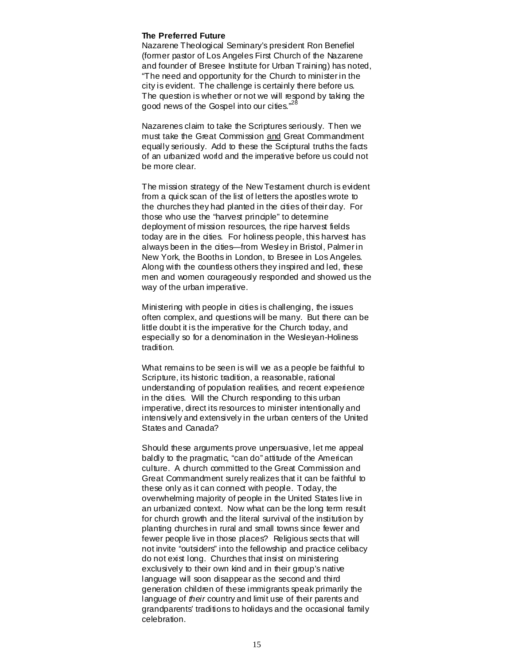#### **The Preferred Future**

Nazarene Theological Seminary's president Ron Benefiel (former pastor of Los Angeles First Church of the Nazarene and founder of Bresee Institute for Urban Training) has noted, "The need and opportunity for the Church to minister in the city is evident. The challenge is certainly there before us. The question is whether or not we will respond by taking the good news of the Gospel into our cities."<sup>28</sup>

Nazarenes claim to take the Scriptures seriously. Then we must take the Great Commission and Great Commandment equally seriously. Add to these the Scriptural truths the facts of an urbanized world and the imperative before us could not be more clear.

The mission strategy of the New Testament church is evident from a quick scan of the list of letters the apostles wrote to the churches they had planted in the cities of their day. For those who use the "harvest principle" to determine deployment of mission resources, the ripe harvest fields today are in the cities. For holiness people, this harvest has always been in the cities—from Wesley in Bristol, Palmer in New York, the Booths in London, to Bresee in Los Angeles. Along with the countless others they inspired and led, these men and women courageously responded and showed us the way of the urban imperative.

Ministering with people in cities is challenging, the issues often complex, and questions will be many. But there can be little doubt it is the imperative for the Church today, and especially so for a denomination in the Wesleyan-Holiness tradition.

What remains to be seen is will we as a people be faithful to Scripture, its historic tradition, a reasonable, rational understanding of population realities, and recent experience in the cities. Will the Church responding to this urban imperative, direct its resources to minister intentionally and intensively and extensively in the urban centers of the United States and Canada?

Should these arguments prove unpersuasive, let me appeal baldly to the pragmatic, "can do" attitude of the American culture. A church committed to the Great Commission and Great Commandment surely realizes that it can be faithful to these only as it can connect with people. Today, the overwhelming majority of people in the United States live in an urbanized context. Now what can be the long term result for church growth and the literal survival of the institution by planting churches in rural and small towns since fewer and fewer people live in those places? Religious sects that will not invite "outsiders" into the fellowship and practice celibacy do not exist long. Churches that insist on ministering exclusively to their own kind and in their group's native language will soon disappear as the second and third generation children of these immigrants speak primarily the language of *their* country and limit use of their parents and grandparents' traditions to holidays and the occasional family celebration.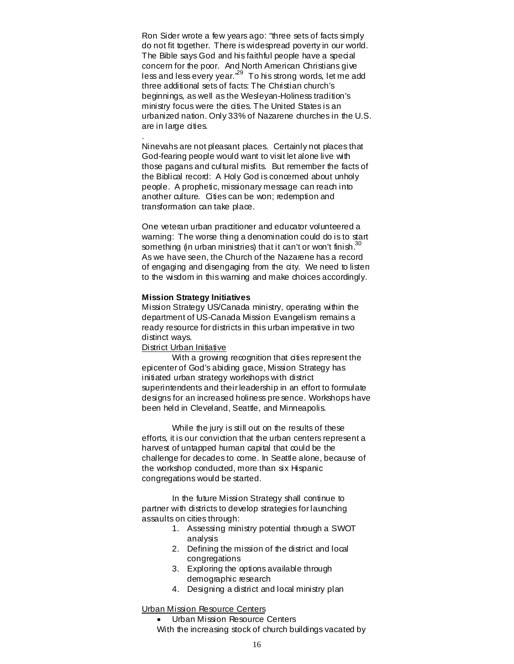Ron Sider wrote a few years ago: "three sets of facts simply do not fit together. There is widespread poverty in our world. The Bible says God and his faithful people have a special concern for the poor. And North American Christians give less and less every year.<sup>29</sup> To his strong words, let me add three additional sets of facts: The Christian church's beginnings, as well as the Wesleyan-Holiness tradition's ministry focus were the cities. The United States is an urbanized nation. Only 33% of Nazarene churches in the U.S. are in large cities.

Ninevahs are not pleasant places. Certainly not places that God-fearing people would want to visit let alone live with those pagans and cultural misfits. But remember the facts of the Biblical record: A Holy God is concerned about unholy people. A prophetic, missionary message can reach into another culture. Cities can be won; redemption and transformation can take place.

One veteran urban practitioner and educator volunteered a warning: The worse thing a denomination could do is to start something (in urban ministries) that it can't or won't finish.<sup>30</sup> As we have seen, the Church of the Nazarene has a record of engaging and disengaging from the city. We need to listen to the wisdom in this warning and make choices accordingly.

## **Mission Strategy Initiatives**

Mission Strategy US/Canada ministry, operating within the department of US-Canada Mission Evangelism remains a ready resource for districts in this urban imperative in two distinct ways.

# District Urban Initiative

.

With a growing recognition that cities represent the epicenter of God's abiding grace, Mission Strategy has initiated urban strategy workshops with district superintendents and their leadership in an effort to formulate designs for an increased holiness pre sence. Workshops have been held in Cleveland, Seattle, and Minneapolis.

While the jury is still out on the results of these efforts, it is our conviction that the urban centers represent a harvest of untapped human capital that could be the challenge for decades to come. In Seattle alone, because of the workshop conducted, more than six Hispanic congregations would be started.

In the future Mission Strategy shall continue to partner with districts to develop strategies for launching assaults on cities through:

- 1. Assessing ministry potential through a SWOT analysis
- 2. Defining the mission of the district and local congregations
- 3. Exploring the options available through demographic research
- 4. Designing a district and local ministry plan

Urban Mission Resource Centers

• Urban Mission Resource Centers

With the increasing stock of church buildings vacated by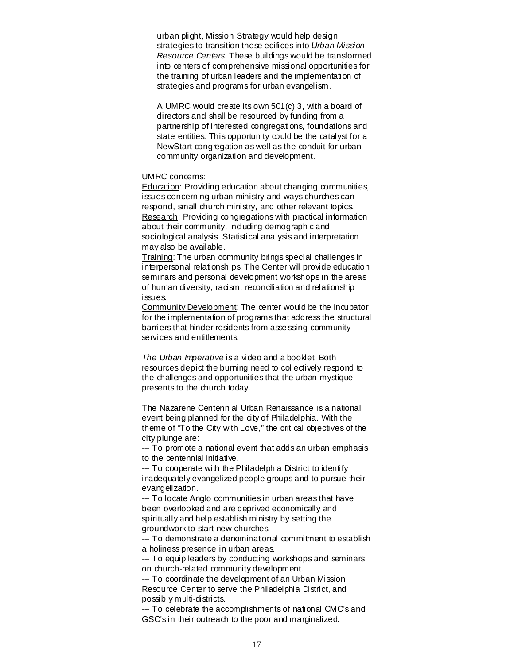urban plight, Mission Strategy would help design strategies to transition these edifices into *Urban Mission Resource Centers.* These buildings would be transformed into centers of comprehensive missional opportunities for the training of urban leaders and the implementation of strategies and programs for urban evangelism.

A UMRC would create its own 501(c) 3, with a board of directors and shall be resourced by funding from a partnership of interested congregations, foundations and state entities. This opportunity could be the catalyst for a NewStart congregation as well as the conduit for urban community organization and development.

## UMRC concerns:

Education: Providing education about changing communities, issues concerning urban ministry and ways churches can respond, small church ministry, and other relevant topics. Research: Providing congregations with practical information about their community, including demographic and sociological analysis. Statistical analysis and interpretation may also be available.

Training: The urban community brings special challenges in interpersonal relationships. The Center will provide education seminars and personal development workshops in the areas of human diversity, racism, reconciliation and relationship issues.

Community Development: The center would be the incubator for the implementation of programs that address the structural barriers that hinder residents from asse ssing community services and entitlements.

*The Urban Imperative* is a video and a booklet. Both resources depict the burning need to collectively respond to the challenges and opportunities that the urban mystique presents to the church today.

The Nazarene Centennial Urban Renaissance is a national event being planned for the city of Philadelphia. With the theme of "To the City with Love," the critical objectives of the city plunge are:

--- To promote a national event that adds an urban emphasis to the centennial initiative.

--- To cooperate with the Philadelphia District to identify inadequately evangelized people groups and to pursue their evangelization.

--- To locate Anglo communities in urban areas that have been overlooked and are deprived economically and spiritually and help establish ministry by setting the groundwork to start new churches.

--- To demonstrate a denominational commitment to establish a holiness presence in urban areas.

--- To equip leaders by conducting workshops and seminars on church-related community development.

--- To coordinate the development of an Urban Mission Resource Center to serve the Philadelphia District, and possibly multi-districts.

--- To celebrate the accomplishments of national CMC's and GSC's in their outreach to the poor and marginalized.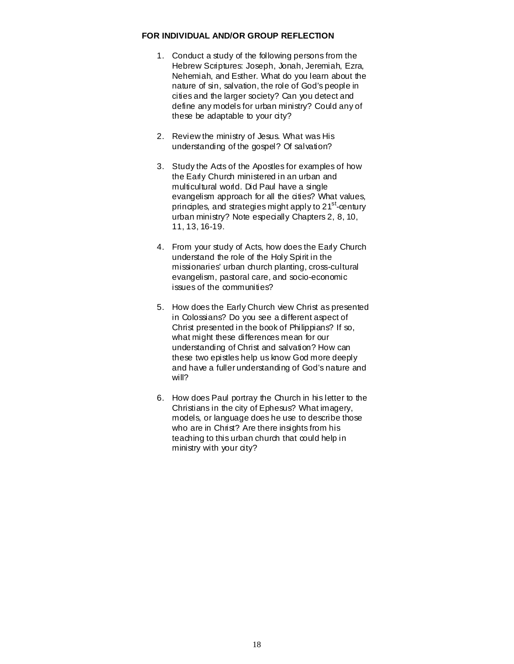# **FOR INDIVIDUAL AND/OR GROUP REFLECTION**

- 1. Conduct a study of the following persons from the Hebrew Scriptures: Joseph, Jonah, Jeremiah, Ezra, Nehemiah, and Esther. What do you learn about the nature of sin, salvation, the role of God's people in cities and the larger society? Can you detect and define any models for urban ministry? Could any of these be adaptable to your city?
- 2. Review the ministry of Jesus. What was His understanding of the gospel? Of salvation?
- 3. Study the Acts of the Apostles for examples of how the Early Church ministered in an urban and multicultural world. Did Paul have a single evangelism approach for all the cities? What values, principles, and strategies might apply to  $21<sup>st</sup>$ -century urban ministry? Note especially Chapters 2, 8, 10, 11, 13, 16-19.
- 4. From your study of Acts, how does the Early Church understand the role of the Holy Spirit in the missionaries' urban church planting, cross-cultural evangelism, pastoral care, and socio-economic issues of the communities?
- 5. How does the Early Church view Christ as presented in Colossians? Do you see a different aspect of Christ presented in the book of Philippians? If so, what might these differences mean for our understanding of Christ and salvation? How can these two epistles help us know God more deeply and have a fuller understanding of God's nature and will?
- 6. How does Paul portray the Church in his letter to the Christians in the city of Ephesus? What imagery, models, or language does he use to describe those who are in Christ? Are there insights from his teaching to this urban church that could help in ministry with your city?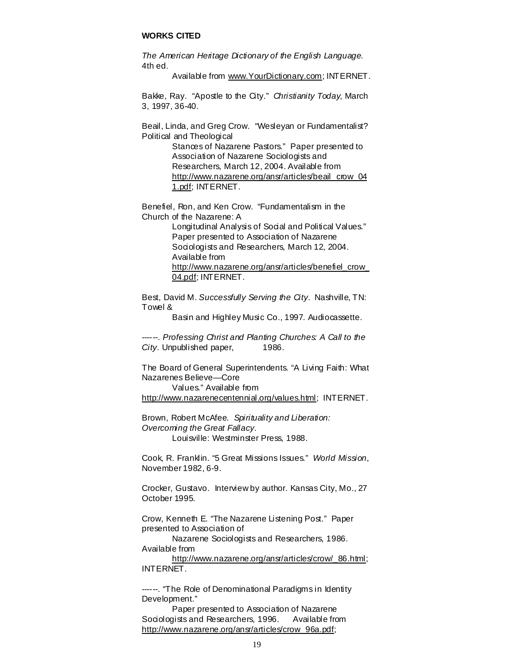#### **WORKS CITED**

*The American Heritage Dictionary of the English Language*. 4th ed.

Available from www.YourDictionary.com; INTERNET.

Bakke, Ray. "Apostle to the City." *Christianity Today*, March 3, 1997, 36-40.

Beail, Linda, and Greg Crow. "Wesleyan or Fundamentalist? Political and Theological

> Stances of Nazarene Pastors." Paper presented to Association of Nazarene Sociologists and Researchers, March 12, 2004. Available from http://www.nazarene.org/ansr/articles/beail\_crow\_04 1.pdf; INTERNET.

Benefiel, Ron, and Ken Crow. "Fundamentalism in the Church of the Nazarene: A

> Longitudinal Analysis of Social and Political Values." Paper presented to Association of Nazarene Sociologists and Researchers, March 12, 2004. Available from http://www.nazarene.org/ansr/articles/benefiel\_crow\_ 04.pdf; INTERNET.

Best, David M. *Successfully Serving the City*. Nashville, TN: Towel &

Basin and Highley Music Co., 1997. Audiocassette.

------. *Professing Christ and Planting Churches: A Call to the City*. Unpublished paper, 1986.

The Board of General Superintendents. "A Living Faith: What Nazarenes Believe—Core

Values." Available from http://www.nazarenecentennial.org/values.html; INTERNET.

Brown, Robert McAfee. *Spirituality and Liberation: Overcoming the Great Fallacy*.

Louisville: Westminster Press, 1988.

Cook, R. Franklin. "5 Great Missions Issues." *World Mission*, November 1982, 6-9.

Crocker, Gustavo. Interview by author. Kansas City, Mo., 27 October 1995.

Crow, Kenneth E. "The Nazarene Listening Post." Paper presented to Association of

Nazarene Sociologists and Researchers, 1986. Available from

 http://www.nazarene.org/ansr/articles/crow/\_86.html; INTERNET.

------. "The Role of Denominational Paradigms in Identity Development."

Paper presented to Association of Nazarene Sociologists and Researchers, 1996. Available from http://www.nazarene.org/ansr/articles/crow\_96a.pdf;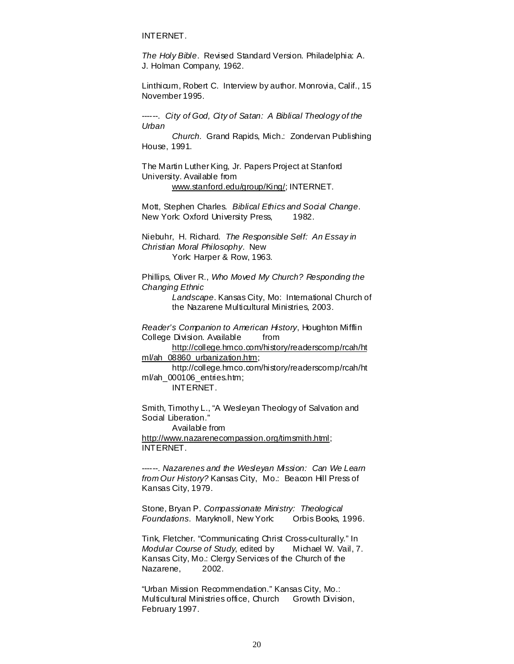INTERNET.

*The Holy Bible*. Revised Standard Version. Philadelphia: A. J. Holman Company, 1962.

Linthicum, Robert C. Interview by author. Monrovia, Calif., 15 November 1995.

------. *City of God, City of Satan: A Biblical Theology of the Urban*

*Church.* Grand Rapids, Mich.: Zondervan Publishing House, 1991.

The Martin Luther King, Jr. Papers Project at Stanford University. Available from www.stanford.edu/group/King/; INTERNET.

Mott, Stephen Charles. *Biblical Ethics and Social Change*. New York: Oxford University Press, 1982.

Niebuhr, H. Richard. *The Responsible Self: An Essay in Christian Moral Philosophy*. New York: Harper & Row, 1963.

Phillips, Oliver R., *Who Moved My Church? Responding the Changing Ethnic* 

> *Landscape*. Kansas City, Mo: International Church of the Nazarene Multicultural Ministries, 2003.

*Reader's Companion to American History*, Houghton Mifflin College Division. Available from

http://college.hmco.com/history/readerscomp/rcah/ht ml/ah\_08860\_urbanization.htm;

http://college.hmco.com/history/readerscomp/rcah/ht ml/ah\_000106\_entries.htm;

INTERNET.

Smith, Timothy L., "A Wesleyan Theology of Salvation and Social Liberation."

Available from

http://www.nazarenecompassion.org/timsmith.html; INTERNET.

------. *Nazarenes and the Wesleyan Mission: Can We Learn from Our History?* Kansas City, Mo.: Beacon Hill Press of Kansas City, 1979.

Stone, Bryan P. *Compassionate Ministry: Theological Foundations*. Maryknoll, New York: Orbis Books, 1996.

Tink, Fletcher. "Communicating Christ Cross-culturally." In *Modular Course of Study*, edited by Michael W. Vail, 7. Kansas City, Mo.: Clergy Services of the Church of the Nazarene, 2002.

"Urban Mission Recommendation." Kansas City, Mo.: Multicultural Ministries office, Church Growth Division, February 1997.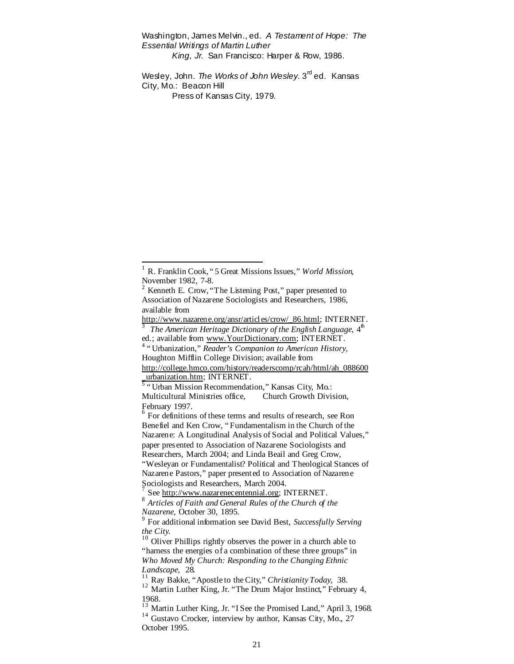### Washington, James Melvin., ed. *A Testament of Hope: The Essential Writings of Martin Luther King, Jr.* San Francisco: Harper & Row, 1986.

Wesley, John. *The Works of John Wesley.* 3rd ed. Kansas City, Mo.: Beacon Hill Press of Kansas City, 1979.

-

<sup>1</sup> R. Franklin Cook, " 5 Great Missions Issues," *World Mission*, November 1982, 7-8.

<sup>2</sup> Kenneth E. Crow, "The Listening Post," paper presented to Association of Nazarene Sociologists and Researchers, 1986, available from

http://www.nazarene.org/ansr/articles/crow/\_86.html; INTERNET.  $3$  The American Heritage Dictionary of the English Language,  $4<sup>th</sup>$ 

ed.; available from www.YourDictionary.com; INTERNET.

<sup>4</sup> " Urbanization," *Reader's Companion to American History,* Houghton Mifflin College Division; available from http://college.hmco.com/history/readerscomp/rcah/html/ah\_088600

urbanization.htm; INTERNET.<br><sup>5</sup> "Urban Mission Recommendation," Kansas City, Mo.: Multicultural Ministries office, Church Growth Division, February 1997.

<sup>&</sup>lt;sup>6</sup> For definitions of these terms and results of research, see Ron Benefiel and Ken Crow, " Fundamentalism in the Church of the Nazarene: A Longitudinal Analysis of Social and Political Values," paper presented to Association of Nazarene Sociologists and Researchers, March 2004; and Linda Beail and Greg Crow, "Wesleyan or Fundamentalist? Political and Theological Stances of Nazarene Pastors," paper presented to Association of Nazarene Sociologists and Researchers, March 2004.

See http://www.nazarenecentennial.org; INTERNET.

<sup>8</sup> *Articles of Faith and General Rules of the Church of the Nazarene*, October 30, 1895.

<sup>9</sup> For additional information see David Best, *Successfully Serving the City.*

 $10$  Oliver Phillips rightly observes the power in a church able to "harness the energies of a combination of these three groups" in *Who Moved My Church: Responding to the Changing Ethnic Landscape,* 28.

<sup>11</sup> Ray Bakke, "Apostle to the City," *Christianity Today,* 38. <sup>12</sup> Martin Luther King, Jr. "The Drum Major Instinct," February 4, 1968.

 $13$  Martin Luther King, Jr. "I See the Promised Land," April 3, 1968. <sup>14</sup> Gustavo Crocker, interview by author, Kansas City, Mo., 27 October 1995.